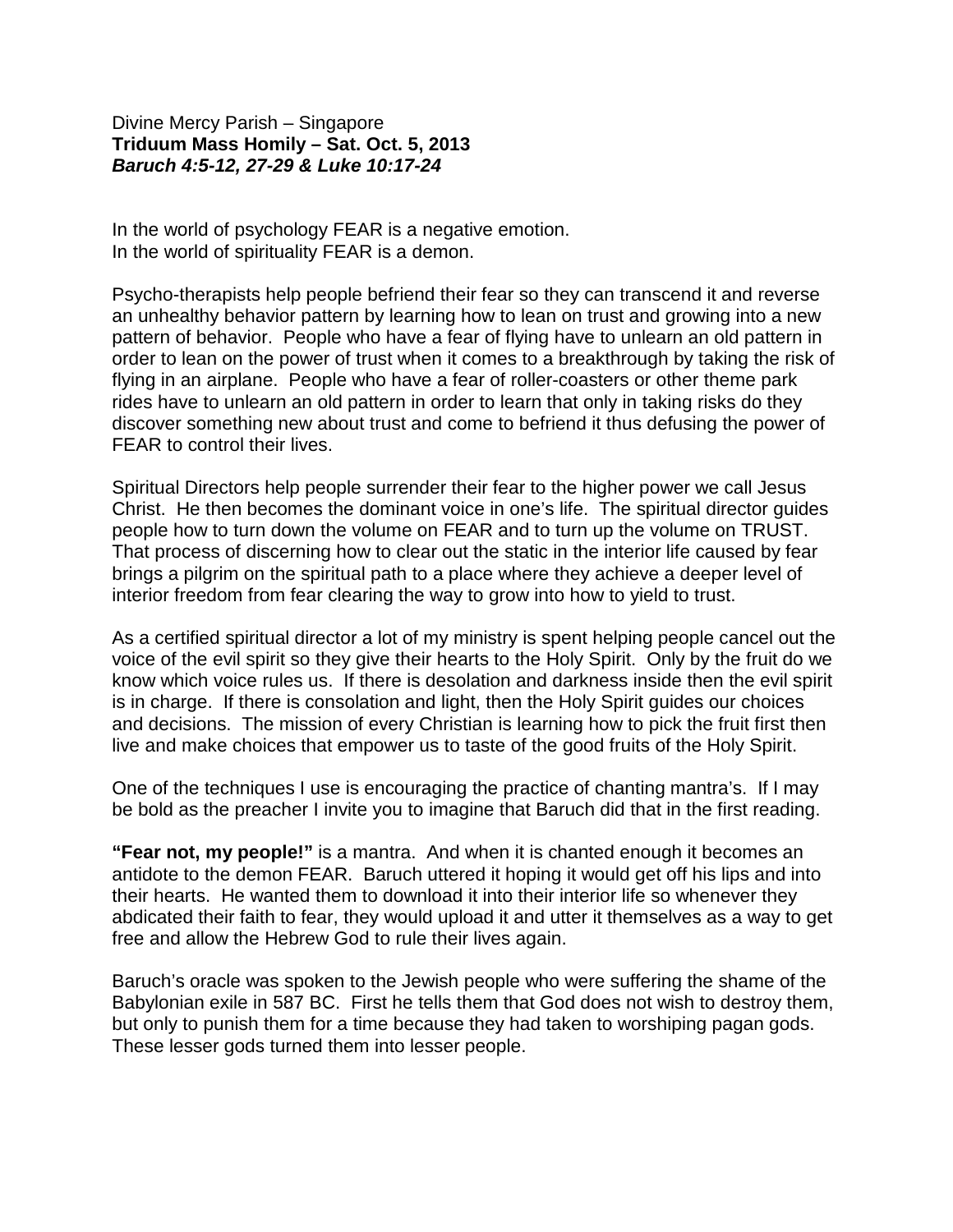Divine Mercy Parish – Singapore **Triduum Mass Homily – Sat. Oct. 5, 2013** *Baruch 4:5-12, 27-29 & Luke 10:17-24*

In the world of psychology FEAR is a negative emotion. In the world of spirituality FEAR is a demon.

Psycho-therapists help people befriend their fear so they can transcend it and reverse an unhealthy behavior pattern by learning how to lean on trust and growing into a new pattern of behavior. People who have a fear of flying have to unlearn an old pattern in order to lean on the power of trust when it comes to a breakthrough by taking the risk of flying in an airplane. People who have a fear of roller-coasters or other theme park rides have to unlearn an old pattern in order to learn that only in taking risks do they discover something new about trust and come to befriend it thus defusing the power of FEAR to control their lives.

Spiritual Directors help people surrender their fear to the higher power we call Jesus Christ. He then becomes the dominant voice in one's life. The spiritual director guides people how to turn down the volume on FEAR and to turn up the volume on TRUST. That process of discerning how to clear out the static in the interior life caused by fear brings a pilgrim on the spiritual path to a place where they achieve a deeper level of interior freedom from fear clearing the way to grow into how to yield to trust.

As a certified spiritual director a lot of my ministry is spent helping people cancel out the voice of the evil spirit so they give their hearts to the Holy Spirit. Only by the fruit do we know which voice rules us. If there is desolation and darkness inside then the evil spirit is in charge. If there is consolation and light, then the Holy Spirit guides our choices and decisions. The mission of every Christian is learning how to pick the fruit first then live and make choices that empower us to taste of the good fruits of the Holy Spirit.

One of the techniques I use is encouraging the practice of chanting mantra's. If I may be bold as the preacher I invite you to imagine that Baruch did that in the first reading.

**"Fear not, my people!"** is a mantra. And when it is chanted enough it becomes an antidote to the demon FEAR. Baruch uttered it hoping it would get off his lips and into their hearts. He wanted them to download it into their interior life so whenever they abdicated their faith to fear, they would upload it and utter it themselves as a way to get free and allow the Hebrew God to rule their lives again.

Baruch's oracle was spoken to the Jewish people who were suffering the shame of the Babylonian exile in 587 BC. First he tells them that God does not wish to destroy them, but only to punish them for a time because they had taken to worshiping pagan gods. These lesser gods turned them into lesser people.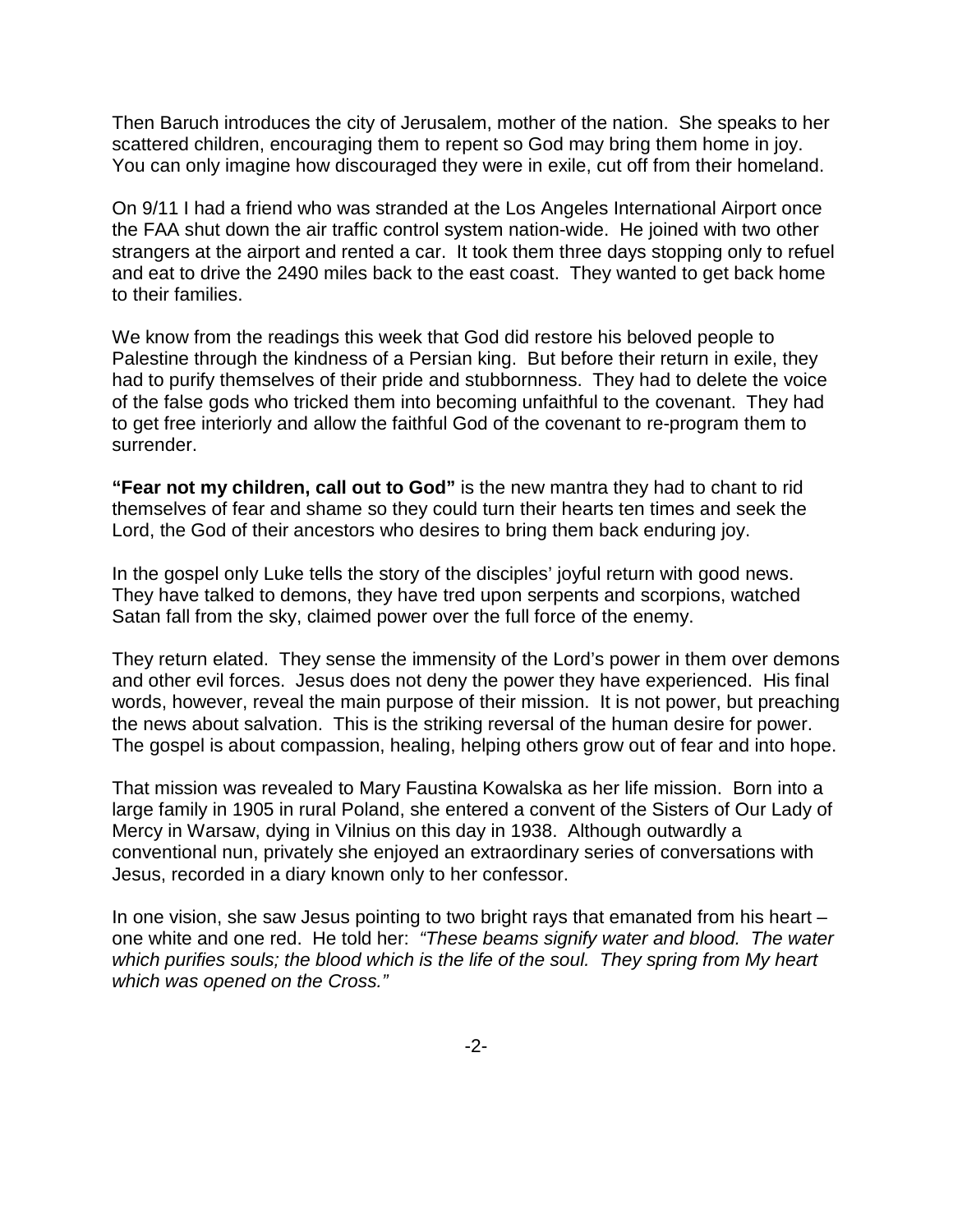Then Baruch introduces the city of Jerusalem, mother of the nation. She speaks to her scattered children, encouraging them to repent so God may bring them home in joy. You can only imagine how discouraged they were in exile, cut off from their homeland.

On 9/11 I had a friend who was stranded at the Los Angeles International Airport once the FAA shut down the air traffic control system nation-wide. He joined with two other strangers at the airport and rented a car. It took them three days stopping only to refuel and eat to drive the 2490 miles back to the east coast. They wanted to get back home to their families.

We know from the readings this week that God did restore his beloved people to Palestine through the kindness of a Persian king. But before their return in exile, they had to purify themselves of their pride and stubbornness. They had to delete the voice of the false gods who tricked them into becoming unfaithful to the covenant. They had to get free interiorly and allow the faithful God of the covenant to re-program them to surrender.

**"Fear not my children, call out to God"** is the new mantra they had to chant to rid themselves of fear and shame so they could turn their hearts ten times and seek the Lord, the God of their ancestors who desires to bring them back enduring joy.

In the gospel only Luke tells the story of the disciples' joyful return with good news. They have talked to demons, they have tred upon serpents and scorpions, watched Satan fall from the sky, claimed power over the full force of the enemy.

They return elated. They sense the immensity of the Lord's power in them over demons and other evil forces. Jesus does not deny the power they have experienced. His final words, however, reveal the main purpose of their mission. It is not power, but preaching the news about salvation. This is the striking reversal of the human desire for power. The gospel is about compassion, healing, helping others grow out of fear and into hope.

That mission was revealed to Mary Faustina Kowalska as her life mission. Born into a large family in 1905 in rural Poland, she entered a convent of the Sisters of Our Lady of Mercy in Warsaw, dying in Vilnius on this day in 1938. Although outwardly a conventional nun, privately she enjoyed an extraordinary series of conversations with Jesus, recorded in a diary known only to her confessor.

In one vision, she saw Jesus pointing to two bright rays that emanated from his heart – one white and one red. He told her: *"These beams signify water and blood. The water which purifies souls; the blood which is the life of the soul. They spring from My heart which was opened on the Cross."*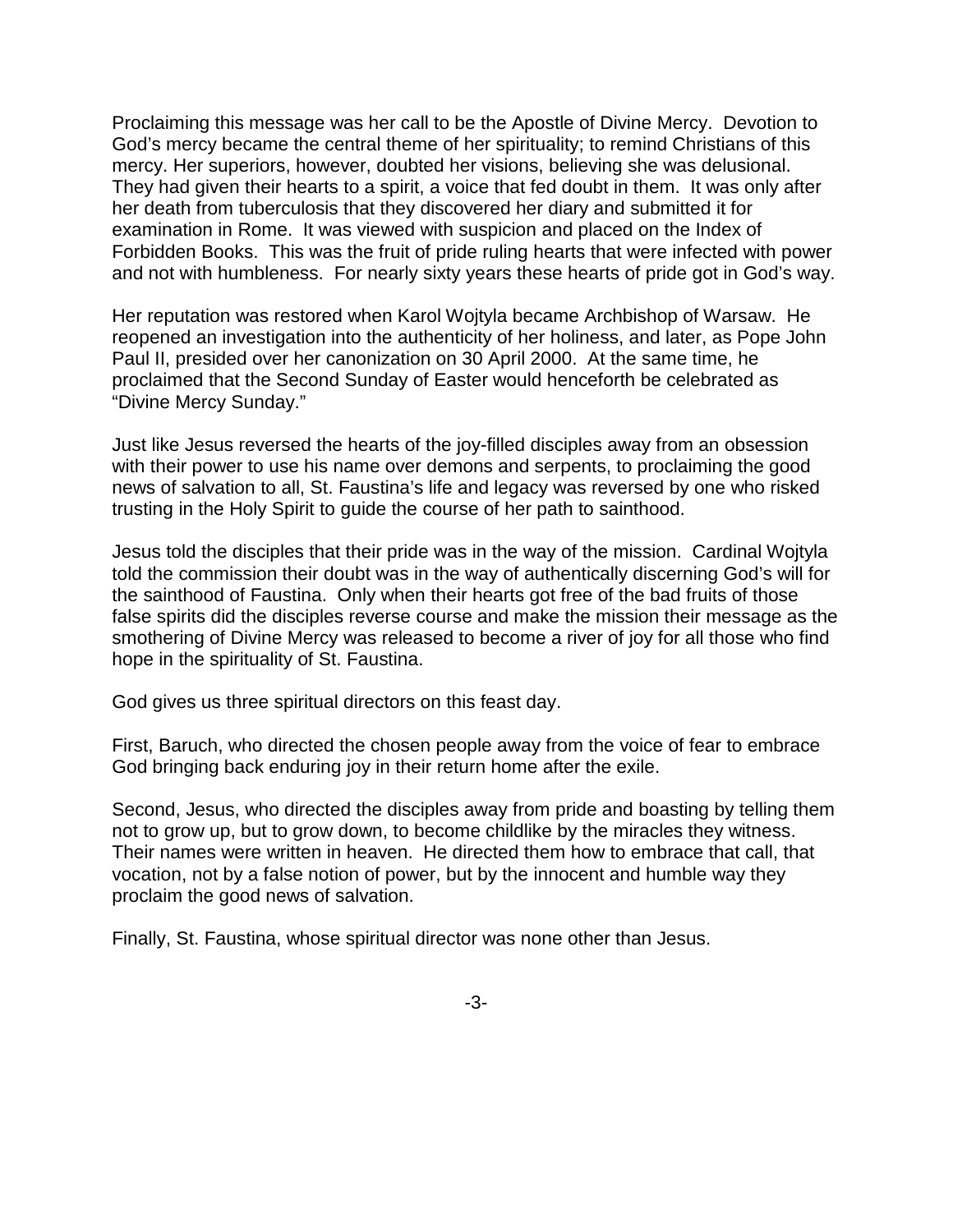Proclaiming this message was her call to be the Apostle of Divine Mercy. Devotion to God's mercy became the central theme of her spirituality; to remind Christians of this mercy. Her superiors, however, doubted her visions, believing she was delusional. They had given their hearts to a spirit, a voice that fed doubt in them. It was only after her death from tuberculosis that they discovered her diary and submitted it for examination in Rome. It was viewed with suspicion and placed on the Index of Forbidden Books. This was the fruit of pride ruling hearts that were infected with power and not with humbleness. For nearly sixty years these hearts of pride got in God's way.

Her reputation was restored when Karol Wojtyla became Archbishop of Warsaw. He reopened an investigation into the authenticity of her holiness, and later, as Pope John Paul II, presided over her canonization on 30 April 2000. At the same time, he proclaimed that the Second Sunday of Easter would henceforth be celebrated as "Divine Mercy Sunday."

Just like Jesus reversed the hearts of the joy-filled disciples away from an obsession with their power to use his name over demons and serpents, to proclaiming the good news of salvation to all, St. Faustina's life and legacy was reversed by one who risked trusting in the Holy Spirit to guide the course of her path to sainthood.

Jesus told the disciples that their pride was in the way of the mission. Cardinal Wojtyla told the commission their doubt was in the way of authentically discerning God's will for the sainthood of Faustina. Only when their hearts got free of the bad fruits of those false spirits did the disciples reverse course and make the mission their message as the smothering of Divine Mercy was released to become a river of joy for all those who find hope in the spirituality of St. Faustina.

God gives us three spiritual directors on this feast day.

First, Baruch, who directed the chosen people away from the voice of fear to embrace God bringing back enduring joy in their return home after the exile.

Second, Jesus, who directed the disciples away from pride and boasting by telling them not to grow up, but to grow down, to become childlike by the miracles they witness. Their names were written in heaven. He directed them how to embrace that call, that vocation, not by a false notion of power, but by the innocent and humble way they proclaim the good news of salvation.

Finally, St. Faustina, whose spiritual director was none other than Jesus.